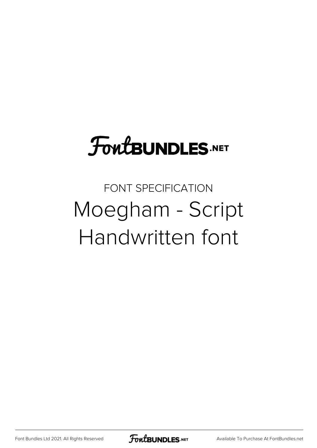## **FoutBUNDLES.NET**

FONT SPECIFICATION Moegham - Script Handwritten font

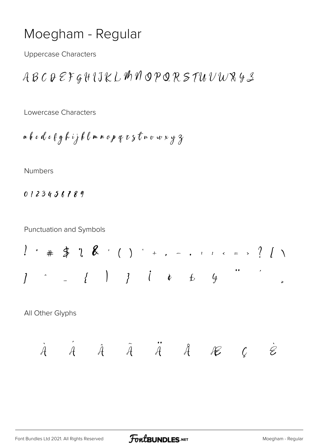## Moegham - Regular

**Uppercase Characters** 

$$
\mathcal{A} \mathop{\mathcal{B} \mathcal{C}} \mathop{\mathcal{D} \mathcal{E} \mathop{\mathcal{F} \mathcal{G} \mathcal{H} \{J\}} \mathop{\mathcal{K} \mathcal{L} \mathcal{M} \mathcal{N} \mathcal{O} \mathcal{P} \mathcal{Q} \mathcal{R} \mathcal{S} \mathcal{I} \mathcal{U} \mathcal{V} \mathcal{W} \mathcal{R} \mathcal{Y} \mathcal{Z}}
$$

Lowercase Characters

Numbers

0123456789

**Punctuation and Symbols** 

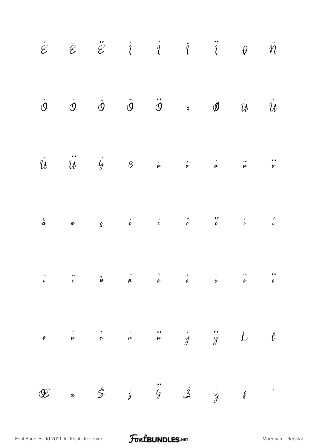|  |  | $\begin{array}{ccccccccccccc} \dot{\varphi} & \dot{\varphi} & \ddot{\varphi} & \dot{\varphi} & \dot{\varphi} & \dot{\varphi} & \dot{\varphi} & \dot{\varphi} & \dot{\varphi} & \dot{\varphi} & \dot{\varphi} & \dot{\varphi} & \dot{\varphi} & \dot{\varphi} & \dot{\varphi} & \dot{\varphi} & \dot{\varphi} & \dot{\varphi} & \dot{\varphi} & \dot{\varphi} & \dot{\varphi} & \dot{\varphi} & \dot{\varphi} & \dot{\varphi} & \dot{\varphi} & \dot{\varphi} & \dot{\varphi} & \dot{\varphi} & \dot{\varphi} & \dot{\varphi}$      |  |  |
|--|--|------------------------------------------------------------------------------------------------------------------------------------------------------------------------------------------------------------------------------------------------------------------------------------------------------------------------------------------------------------------------------------------------------------------------------------------------------------------------------------------------------------------------------------|--|--|
|  |  | $\dot{\phi} \qquad \dot{\phi} \qquad \dot{\phi} \qquad \ddot{\phi} \qquad \ddot{\phi} \qquad \dot{\phi} \qquad \ddot{\phi} \qquad \dot{u} \qquad \dot{u}$                                                                                                                                                                                                                                                                                                                                                                          |  |  |
|  |  | $\hat{u}$ $\ddot{u}$ $\acute{q}$ $\theta$ $\dot{a}$ $\acute{a}$ $\ddot{a}$ $\ddot{a}$ $\ddot{a}$                                                                                                                                                                                                                                                                                                                                                                                                                                   |  |  |
|  |  |                                                                                                                                                                                                                                                                                                                                                                                                                                                                                                                                    |  |  |
|  |  | $\begin{array}{ccccccccccc}\n\hat{c} & & & \hat{c} & & & \hat{c} & & \hat{c} & & \hat{c} & & \hat{c} \\ \hat{c} & & & \hat{c} & & \hat{b} & & \hat{a} & & \hat{c} & & \hat{c} & & \hat{c} & & \hat{c}\n\end{array}$                                                                                                                                                                                                                                                                                                                |  |  |
|  |  | $\begin{array}{cccccccccccccc} \bullet & & \dot{\cdot} & & \dot{\cdot} & & \dot{\cdot} & & \dot{\cdot} & & \dot{\cdot} & & \dot{\cdot} & & \dot{\cdot} & & \dot{\cdot} & & \dot{\cdot} & & \dot{\cdot} & & \dot{\cdot} & & \dot{\cdot} & & \dot{\cdot} & & \dot{\cdot} & & \dot{\cdot} & & \dot{\cdot} & & \dot{\cdot} & & \dot{\cdot} & & \dot{\cdot} & & \dot{\cdot} & & \dot{\cdot} & & \dot{\cdot} & & \dot{\cdot} & & \dot{\cdot} & & \dot{\cdot} & & \dot{\cdot} & & \dot{\cdot} & & \dot{\cdot} & & \dot{\cdot} & & \dot{\$ |  |  |
|  |  | $\begin{array}{ccccccccccccccccc} \mathbf{C} & & & \alpha & & \mathbf{S} & & \mathbf{S} & & \mathbf{S} & & \mathbf{S} & & \mathbf{S} & & \mathbf{S} & & \mathbf{S} & & \mathbf{S} & & \mathbf{S} & & \mathbf{S} & & \mathbf{S} & & \mathbf{S} & & \mathbf{S} & & \mathbf{S} & & \mathbf{S} & & \mathbf{S} & & \mathbf{S} & & \mathbf{S} & & \mathbf{S} & & \mathbf{S} & & \mathbf{S} & & \mathbf{S} & & \mathbf{S} & & \mathbf{S} & & \mathbf{$                                                                                    |  |  |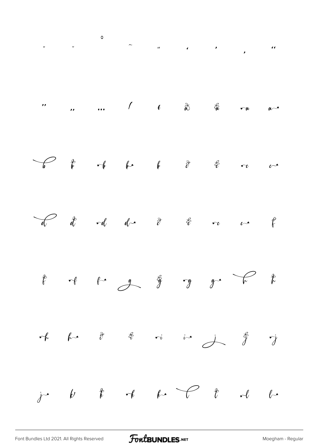